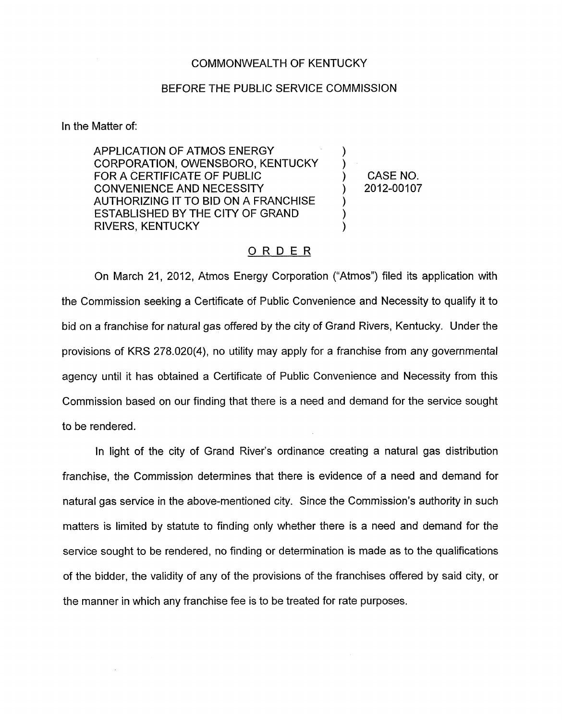## COMMONWEALTH OF KENTUCKY

## BEFORE THE PUBLIC SERVICE COMMISSION

In the Matter of:

APPLICATION OF ATMOS ENERGY ) CORPORATION, OWENSBORO, KENTUCKY ) FOR A CERTIFICATE OF PUBLIC  $\qquad \qquad$  (CASE NO. CONVENIENCE AND NECESSITY ) 2012-00107 AUTHORIZING IT TO BID ON A FRANCHISE ESTABLISHED BY THE CITY OF GRAND ) RIVERS, KENTUCKY )

## ORDER

On March 21, 2012, Atmos Energy Corporation ("Atmos") filed its application with the Commission seeking a Certificate of Public Convenience and Necessity to qualify it to bid on a franchise for natural gas offered by the city of Grand Rivers, Kentucky. Under the provisions of KRS 278.020(4), no utility may apply for a franchise from any governmental agency until it has obtained a Certificate of Public Convenience and Necessity from this Commission based on our finding that there is a need and demand for the service sought to be rendered.

In light of the city of Grand River's ordinance creating a natural gas distribution franchise, the Commission determines that there is evidence of a need and demand for natural gas service in the above-mentioned city. Since the Commission's authority in such matters is limited by statute to finding only whether there is a need and demand for the service sought to be rendered, no finding or determination is made as to the qualifications of the bidder, the validity of any of the provisions of the franchises offered by said city, or the manner in which any franchise fee is to be treated for rate purposes.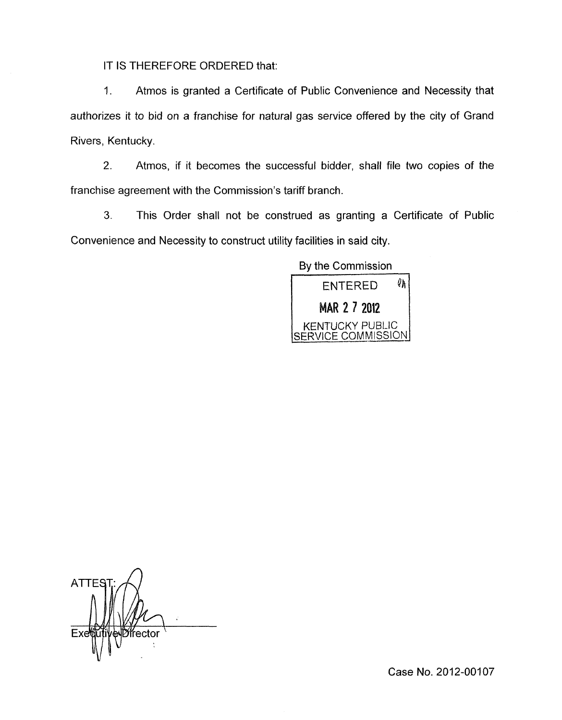IT IS THEREFORE ORDERED that:

1. Atmos is granted a Certificate of Public Convenience and Necessity that authorizes it to bid on a franchise for natural gas service offered by the city of Grand Rivers, Kentucky.

2. Atmos, if it becomes the successful bidder, shall file two copies of the franchise agreement with the Commission's tariff branch.

**3.** This Order shall not be construed as granting a Certificate of Public Convenience and Necessity to construct utility facilities in said city.

Bv the Commission



*n*  **ATTE** frector

Case No. 2012-00107